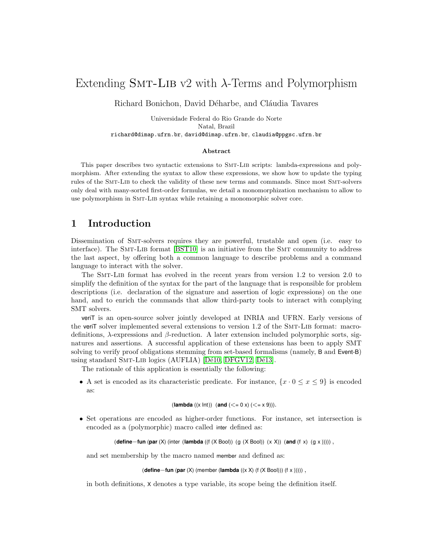# Extending SMT-LIB v2 with  $\lambda$ -Terms and Polymorphism

Richard Bonichon, David Déharbe, and Cláudia Tavares

Universidade Federal do Rio Grande do Norte Natal, Brazil richard@dimap.ufrn.br, david@dimap.ufrn.br, claudia@ppgsc.ufrn.br

#### Abstract

This paper describes two syntactic extensions to Smt-Lib scripts: lambda-expressions and polymorphism. After extending the syntax to allow these expressions, we show how to update the typing rules of the Smt-Lib to check the validity of these new terms and commands. Since most Smt-solvers only deal with many-sorted first-order formulas, we detail a monomorphization mechanism to allow to use polymorphism in Smt-Lib syntax while retaining a monomorphic solver core.

### <span id="page-0-0"></span>1 Introduction

Dissemination of Smt-solvers requires they are powerful, trustable and open (i.e. easy to interface). The SMT-LIB format [\[BST10\]](#page-9-0) is an initiative from the SMT community to address the last aspect, by offering both a common language to describe problems and a command language to interact with the solver.

The Smt-Lib format has evolved in the recent years from version 1.2 to version 2.0 to simplify the definition of the syntax for the part of the language that is responsible for problem descriptions (i.e. declaration of the signature and assertion of logic expressions) on the one hand, and to enrich the commands that allow third-party tools to interact with complying SMT solvers.

veriT is an open-source solver jointly developed at INRIA and UFRN. Early versions of the veriT solver implemented several extensions to version 1.2 of the SMT-LIB format: macrodefinitions, λ-expressions and β-reduction. A later extension included polymorphic sorts, signatures and assertions. A successful application of these extensions has been to apply SMT solving to verify proof obligations stemming from set-based formalisms (namely, B and Event-B) using standard SMT-LIB logics (AUFLIA) [Dé10, [DFGV12,](#page-9-2) Dé13].

The rationale of this application is essentially the following:

• A set is encoded as its characteristic predicate. For instance,  $\{x \cdot 0 \le x \le 9\}$  is encoded as:

(**lambda** ((x Int)) (**and** (
$$
\le
$$
 = 0 x) ( $\le$  x 9))).

• Set operations are encoded as higher-order functions. For instance, set intersection is encoded as a (polymorphic) macro called inter defined as:

(**define**−**fun** (**par** (X) (inter (**lambda** ((f (X Bool)) (g (X Bool)) (x X)) (**and** (f x) (g x ))))) ,

and set membership by the macro named member and defined as:

#### (**define**−**fun** (**par** (X) (member (**lambda** ((x X) (f (X Bool))) (f x ))))) ,

in both definitions, X denotes a type variable, its scope being the definition itself.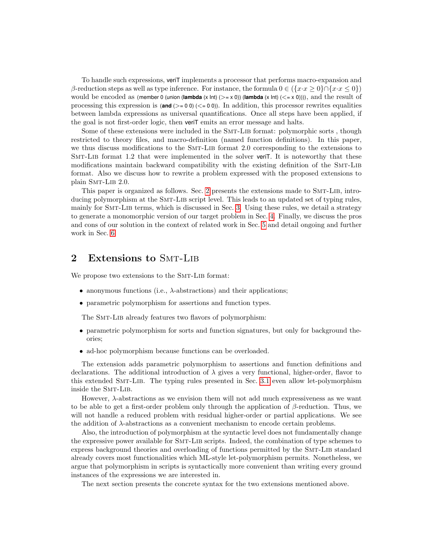To handle such expressions, veriT implements a processor that performs macro-expansion and β-reduction steps as well as type inference. For instance, the formula  $0 \in (\{x \cdot x \ge 0\} \cap \{x \cdot x \le 0\})$ would be encoded as (member 0 (union (**lambda** (x lnt) ( $>= x 0$ )) (**lambda** (x lnt) ( $\leq = x 0$ )))), and the result of processing this expression is  $(\text{and } (\geq 0.0))$  ( $\leq 0.0$ )). In addition, this processor rewrites equalities between lambda expressions as universal quantifications. Once all steps have been applied, if the goal is not first-order logic, then veriT emits an error message and halts.

Some of these extensions were included in the SMT-LIB format: polymorphic sorts, though restricted to theory files, and macro-definition (named function definitions). In this paper, we thus discuss modifications to the Smt-Lib format 2.0 corresponding to the extensions to Smt-Lib format 1.2 that were implemented in the solver veriT. It is noteworthy that these modifications maintain backward compatibility with the existing definition of the Smt-Lib format. Also we discuss how to rewrite a problem expressed with the proposed extensions to plain SMT-LIB 2.0.

This paper is organized as follows. Sec. [2](#page-1-0) presents the extensions made to Smt-Lib, introducing polymorphism at the SMT-LIB script level. This leads to an updated set of typing rules, mainly for Smt-Lib terms, which is discussed in Sec. [3.](#page-2-0) Using these rules, we detail a strategy to generate a monomorphic version of our target problem in Sec. [4.](#page-5-0) Finally, we discuss the pros and cons of our solution in the context of related work in Sec. [5](#page-7-0) and detail ongoing and further work in Sec. [6.](#page-8-0)

# <span id="page-1-0"></span>2 Extensions to SMT-LIB

We propose two extensions to the SMT-LIB format:

- anonymous functions (i.e.,  $\lambda$ -abstractions) and their applications;
- parametric polymorphism for assertions and function types.

The SMT-LIB already features two flavors of polymorphism:

- parametric polymorphism for sorts and function signatures, but only for background theories;
- ad-hoc polymorphism because functions can be overloaded.

The extension adds parametric polymorphism to assertions and function definitions and declarations. The additional introduction of  $\lambda$  gives a very functional, higher-order, flavor to this extended Smt-Lib. The typing rules presented in Sec. [3.1](#page-2-1) even allow let-polymorphism inside the SMT-LIB.

However,  $\lambda$ -abstractions as we envision them will not add much expressiveness as we want to be able to get a first-order problem only through the application of  $\beta$ -reduction. Thus, we will not handle a reduced problem with residual higher-order or partial applications. We see the addition of  $\lambda$ -abstractions as a convenient mechanism to encode certain problems.

Also, the introduction of polymorphism at the syntactic level does not fundamentally change the expressive power available for Smt-Lib scripts. Indeed, the combination of type schemes to express background theories and overloading of functions permitted by the SMT-LIB standard already covers most functionalities which ML-style let-polymorphism permits. Nonetheless, we argue that polymorphism in scripts is syntactically more convenient than writing every ground instances of the expressions we are interested in.

The next section presents the concrete syntax for the two extensions mentioned above.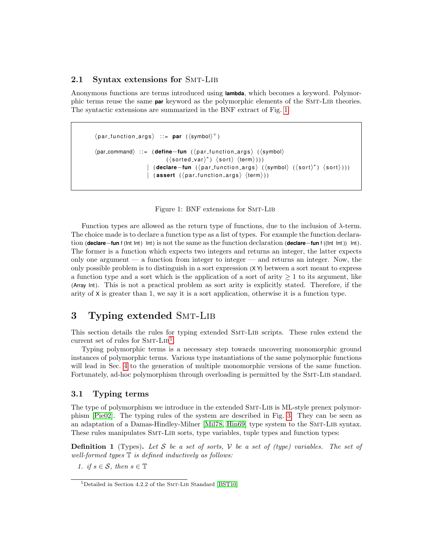### 2.1 Syntax extensions for SMT-LIB

Anonymous functions are terms introduced using **lambda**, which becomes a keyword. Polymorphic terms reuse the same **par** keyword as the polymorphic elements of the Smt-Lib theories. The syntactic extensions are summarized in the BNF extract of Fig. [1.](#page-2-2)

```
\langlepar_function_args\rangle ::= par (\langlesymbol\rangle<sup>+</sup>)
\langlepar_command) : := ( define−fun (\langle par function args ) (\langle symbol)
                                     (\langle sorted \text{var} \rangle^*) \langle sort \rangle \langle term \rangle)))| (declare−fun (<nar_function_args> (<symbol> (<sort> (sort>)))
                           \vert (assert (\langle par\_function \text{.args} \rangle \langle term \rangle))
```
<span id="page-2-2"></span>

Function types are allowed as the return type of functions, due to the inclusion of λ-term. The choice made is to declare a function type as a list of types. For example the function declaration (**declare**−**fun** f (Int Int ) Int ) is not the same as the function declaration (**declare**−**fun** f ((Int Int )) Int ). The former is a function which expects two integers and returns an integer, the latter expects only one argument  $-$  a function from integer to integer  $-$  and returns an integer. Now, the only possible problem is to distinguish in a sort expression (X Y) between a sort meant to express a function type and a sort which is the application of a sort of arity  $\geq 1$  to its argument, like (Array Int ). This is not a practical problem as sort arity is explicitly stated. Therefore, if the arity of X is greater than 1, we say it is a sort application, otherwise it is a function type.

## <span id="page-2-0"></span>3 Typing extended SMT-LIB

This section details the rules for typing extended Smt-Lib scripts. These rules extend the current set of rules for  $SMT-LIB<sup>1</sup>$  $SMT-LIB<sup>1</sup>$  $SMT-LIB<sup>1</sup>$ .

Typing polymorphic terms is a necessary step towards uncovering monomorphic ground instances of polymorphic terms. Various type instantiations of the same polymorphic functions will lead in Sec. [4](#page-5-0) to the generation of multiple monomorphic versions of the same function. Fortunately, ad-hoc polymorphism through overloading is permitted by the SMT-LIB standard.

### <span id="page-2-1"></span>3.1 Typing terms

The type of polymorphism we introduce in the extended SMT-LIB is ML-style prenex polymorphism [\[Pie02\]](#page-9-4). The typing rules of the system are described in Fig. [3.](#page-4-0) They can be seen as an adaptation of a Damas-Hindley-Milner [\[Mil78,](#page-9-5) [Hin69\]](#page-9-6) type system to the SMT-LIB syntax. These rules manipulates SMT-LIB sorts, type variables, tuple types and function types:

**Definition 1** (Types). Let S be a set of sorts, V be a set of (type) variables. The set of well-formed types  $\mathbb T$  is defined inductively as follows:

1. if  $s \in \mathcal{S}$ , then  $s \in \mathbb{T}$ 

<span id="page-2-3"></span><sup>&</sup>lt;sup>1</sup>Detailed in Section 4.2.2 of the SMT-LIB Standard [\[BST10\]](#page-9-0)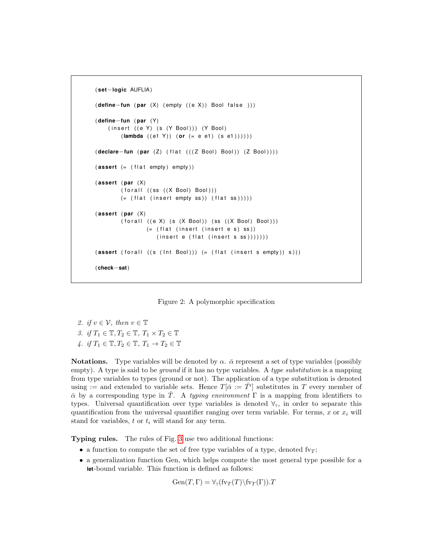```
( set−logic AUFLIA )
( define−fun ( par (X) (empty ( (e X ) ) Bool false ) ) )
( define−fun ( par (Y )
    (insert ((e Y) (s (Y Bool))) (Y Bool)(lambda ((e1 Y)) (or (= e e1) (s e1))))))
( declare−fun ( par ( Z ) ( f l a t ( ( ( Z Bool ) Bool ) ) ( Z Bool ) ) ) )
(\textsf{assert} (= (flat \text{ empty}) \text{ empty}))(assert (par (X)(foralI ((ss ((X Bool) Bool)))( (flat (insert empty ss)) (flat ss)))))
(assert (par (X)(foral \ ((e X) \ (s \ (X Boolean)) \ (ss \ ((X Boolean) Boolean)) )( (flat (insert (insert e s) ss))
                     (inset e (flat (insert s ss))))(assert (for all ((s (Int Bool))) (= (flat (insert s empty)) s)))( check−sat)
```
<span id="page-3-0"></span>Figure 2: A polymorphic specification

2. if  $v \in \mathcal{V}$ , then  $v \in \mathbb{T}$ 3. if  $T_1 \in \mathbb{T}, T_2 \in \mathbb{T}, T_1 \times T_2 \in \mathbb{T}$ 4. if  $T_1 \in \mathbb{T}, T_2 \in \mathbb{T}, T_1 \to T_2 \in \mathbb{T}$ 

**Notations.** Type variables will be denoted by  $\alpha$ .  $\bar{\alpha}$  represent a set of type variables (possibly empty). A type is said to be *ground* if it has no type variables. A type *substitution* is a mapping from type variables to types (ground or not). The application of a type substitution is denoted using := and extended to variable sets. Hence  $T[\bar{\alpha} := \bar{T}']$  substitutes in T every member of  $\bar{\alpha}$  by a corresponding type in T. A typing environment  $\Gamma$  is a mapping from identifiers to types. Universal quantification over type variables is denoted  $\forall_{\tau}$ , in order to separate this quantification from the universal quantifier ranging over term variable. For terms, x or  $x_i$  will stand for variables,  $t$  or  $t_i$  will stand for any term.

Typing rules. The rules of Fig. [3](#page-4-0) use two additional functions:

- a function to compute the set of free type variables of a type, denoted fv<sub>T</sub>;
- a generalization function Gen, which helps compute the most general type possible for a **let**-bound variable. This function is defined as follows:

 $Gen(T, \Gamma) = \forall_{\tau} (f_{V\mathcal{T}}(T) \setminus f_{V\mathcal{T}}(\Gamma)).T$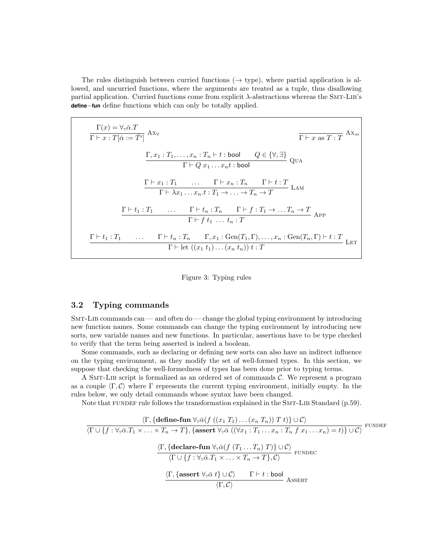The rules distinguish between curried functions  $(\rightarrow$  type), where partial application is allowed, and uncurried functions, where the arguments are treated as a tuple, thus disallowing partial application. Curried functions come from explicit λ-abstractions whereas the Smt-Lib's **define**−**fun** define functions which can only be totally applied.

 $\Gamma(x) = \forall_{\mathbb{T}} \bar{\alpha} . T$  $\frac{\Gamma(\omega) - \nu_{\mathbb{T}}\alpha}{\Gamma \vdash x : T[\bar{\alpha} := \bar{T}']}\; A x_{\forall}$  $\Gamma \vdash x$  as  $T : T$  $A x_{\text{as}}$  $\Gamma, x_1 : T_1, \ldots, x_n : T_n \vdash t : \mathsf{bool} \qquad Q \in \{ \forall, \exists \}$  $\Gamma \vdash Q \ x_1 \ldots x_n t :$  bool Qua  $\Gamma \vdash x_1 : T_1 \quad \dots \quad \Gamma \vdash x_n : T_n \quad \Gamma \vdash t : T$  $\Gamma \vdash \lambda x_1 \ldots x_n.t : T_1 \to \ldots \to T_n \to T$ Lam  $\Gamma \vdash t_1 : T_1 \quad \dots \quad \Gamma \vdash t_n : T_n \quad \Gamma \vdash f : T_1 \to \dots T_n \to T$  $\Gamma \vdash f t_1 \ldots t_n : T$ App  $\Gamma \vdash t_1 : T_1 \quad \dots \quad \Gamma \vdash t_n : T_n \quad \Gamma, x_1 : \text{Gen}(T_1, \Gamma), \dots, x_n : \text{Gen}(T_n, \Gamma) \vdash t : T$  $\Gamma \vdash \mathrm{let} \ ((x_1 \ t_1) \dots (x_n \ t_n)) \ t : T$ Let

<span id="page-4-0"></span>

### 3.2 Typing commands

Smt-Lib commands can — and often do — change the global typing environment by introducing new function names. Some commands can change the typing environment by introducing new sorts, new variable names and new functions. In particular, assertions have to be type checked to verify that the term being asserted is indeed a boolean.

Some commands, such as declaring or defining new sorts can also have an indirect influence on the typing environment, as they modify the set of well-formed types. In this section, we suppose that checking the well-formedness of types has been done prior to typing terms.

A SMT-LIB script is formalized as an ordered set of commands  $C$ . We represent a program as a couple  $\langle \Gamma, \mathcal{C} \rangle$  where Γ represents the current typing environment, initially empty. In the rules below, we only detail commands whose syntax have been changed.

Note that FUNDEF rule follows the transformation explained in the  $SMT-LIB$  Standard  $(p.59)$ .

$$
\frac{\langle \Gamma, \{\text{define-fun } \forall_{\mathsf{T}} \bar{\alpha}(f ((x_1 T_1) \dots (x_n T_n)) T t) \} \cup C \rangle}{\langle \Gamma \cup \{f : \forall_{\mathsf{T}} \bar{\alpha}. T_1 \times \ldots \times T_n \to T \}, \{\text{assert } \forall_{\mathsf{T}} \bar{\alpha} ((\forall x_1 : T_1 \dots x_n : T_n f x_1 \dots x_n) = t) \} \cup C \rangle} \text{ FUNDEF}
$$
\n
$$
\frac{\langle \Gamma, \{\text{declare-fun } \forall_{\mathsf{T}} \bar{\alpha}(f (T_1 \dots T_n) T) \} \cup C \rangle}{\langle \Gamma \cup \{f : \forall_{\mathsf{T}} \bar{\alpha}. T_1 \times \ldots \times T_n \to T \}, C \rangle} \text{ FUNDEC}
$$
\n
$$
\frac{\langle \Gamma, \{\text{assert } \forall_{\mathsf{T}} \bar{\alpha} t \} \cup C \rangle \qquad \Gamma \vdash t : \text{bool}}{\langle \Gamma, C \rangle} \text{ASSENT}
$$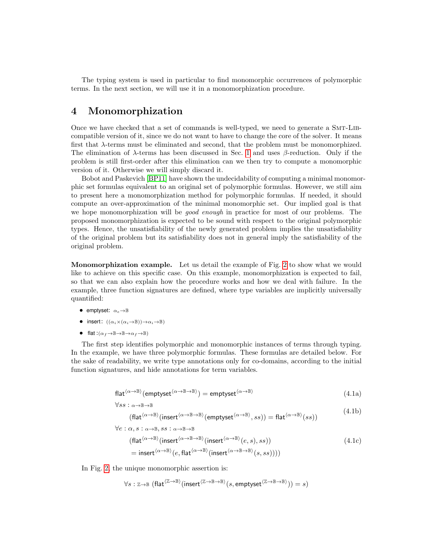The typing system is used in particular to find monomorphic occurrences of polymorphic terms. In the next section, we will use it in a monomorphization procedure.

### <span id="page-5-0"></span>4 Monomorphization

Once we have checked that a set of commands is well-typed, we need to generate a Smt-Libcompatible version of it, since we do not want to have to change the core of the solver. It means first that  $\lambda$ -terms must be eliminated and second, that the problem must be monomorphized. The elimination of  $\lambda$ -terms has been discussed in Sec. [1](#page-0-0) and uses  $\beta$ -reduction. Only if the problem is still first-order after this elimination can we then try to compute a monomorphic version of it. Otherwise we will simply discard it.

Bobot and Paskevich [\[BP11\]](#page-9-7) have shown the undecidability of computing a minimal monomorphic set formulas equivalent to an original set of polymorphic formulas. However, we still aim to present here a monomorphization method for polymorphic formulas. If needed, it should compute an over-approximation of the minimal monomorphic set. Our implied goal is that we hope monomorphization will be *good enough* in practice for most of our problems. The proposed monomorphization is expected to be sound with respect to the original polymorphic types. Hence, the unsatisfiability of the newly generated problem implies the unsatisfiability of the original problem but its satisfiability does not in general imply the satisfiability of the original problem.

Monomorphization example. Let us detail the example of Fig. [2](#page-3-0) to show what we would like to achieve on this specific case. On this example, monomorphization is expected to fail, so that we can also explain how the procedure works and how we deal with failure. In the example, three function signatures are defined, where type variables are implicitly universally quantified:

- emptyset:  $\alpha_e \rightarrow \mathbb{B}$
- insert:  $((\alpha_i \times (\alpha_i \rightarrow \mathbb{B})) \rightarrow \alpha_i \rightarrow \mathbb{B})$
- flat: $(\alpha_f \rightarrow \mathbb{B} \rightarrow \mathbb{B} \rightarrow \alpha_f \rightarrow \mathbb{B})$

The first step identifies polymorphic and monomorphic instances of terms through typing. In the example, we have three polymorphic formulas. These formulas are detailed below. For the sake of readability, we write type annotations only for co-domains, according to the initial function signatures, and hide annotations for term variables.

$$
flat^{(\alpha \to \mathbb{B})}(\text{emptyset}^{(\alpha \to \mathbb{B} \to \mathbb{B})}) = \text{emptyset}^{(\alpha \to \mathbb{B})}
$$
\n(4.1a)

$$
\forall ss: \alpha \mathord{\rightarrow} \mathbb{B} \mathord{\rightarrow} \mathbb{B}
$$

$$
(\text{flat}^{(\alpha \to \mathbb{B})}(\text{insert}^{(\alpha \to \mathbb{B} \to \mathbb{B})}(\text{emptyset}^{(\alpha \to \mathbb{B}), ss})) = \text{flat}^{(\alpha \to \mathbb{B})}(ss))
$$
\n
$$
\forall e : \alpha \ s : \alpha \to \mathbb{B} \ s s : \alpha \to \mathbb{B} \to \mathbb{B}
$$
\n(4.1b)

<span id="page-5-3"></span><span id="page-5-2"></span><span id="page-5-1"></span>
$$
(\text{flat}^{(\alpha \to \mathbb{B})}(\text{insert}^{(\alpha \to \mathbb{B} \to \mathbb{B})}(\text{insert}^{(\alpha \to \mathbb{B})}(e, s), ss))
$$
\n
$$
= \text{insert}^{(\alpha \to \mathbb{B})}(e, \text{flat}^{(\alpha \to \mathbb{B} \to \mathbb{B})}(\text{insert}^{(\alpha \to \mathbb{B} \to \mathbb{B})}(s, ss))))
$$
\n(4.1c)

In Fig. [2,](#page-3-0) the unique monomorphic assertion is:

$$
\forall s: \mathbb{Z} \! \to \! \mathbb{B} \; \big(\mathsf{flat}^{\langle \mathbb{Z} \to \mathbb{B} \rangle}(\mathsf{insert}^{\langle \mathbb{Z} \to \mathbb{B} \to \mathbb{B} \rangle}(s, \mathsf{emptyset}^{\langle \mathbb{Z} \to \mathbb{B} \to \mathbb{B} \rangle})) = s\big)
$$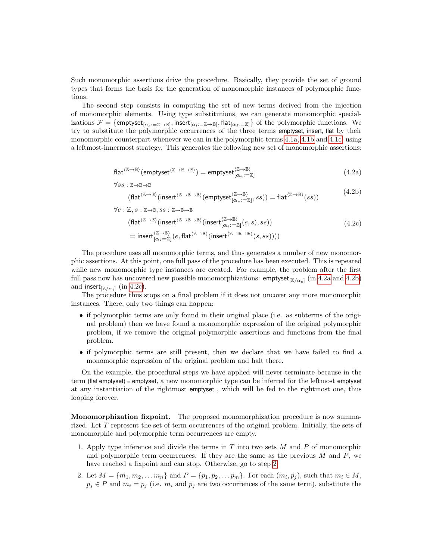Such monomorphic assertions drive the procedure. Basically, they provide the set of ground types that forms the basis for the generation of monomorphic instances of polymorphic functions.

The second step consists in computing the set of new terms derived from the injection of monomorphic elements. Using type substitutions, we can generate monomorphic specializations  $\mathcal{F}=\{\mathsf{emptyset}_{[\alpha_e:=\mathbb{Z}\to\mathbb{B}]},\mathsf{insert}_{[\alpha_i:=\mathbb{Z}\to\mathbb{B}]},\mathsf{flat}_{[\alpha_f:=\mathbb{Z}]}\}$  of the polymorphic functions. We try to substitute the polymorphic occurrences of the three terms emptyset, insert, flat by their monomorphic counterpart whenever we can in the polymorphic terms [4.1a,](#page-5-1) [4.1b](#page-5-2) and [4.1c,](#page-5-3) using a leftmost-innermost strategy. This generates the following new set of monomorphic assertions:

<span id="page-6-1"></span><span id="page-6-0"></span>
$$
flat^{\langle \mathbb{Z} \to \mathbb{B} \rangle}(\text{emptyset}^{\langle \mathbb{Z} \to \mathbb{B} \to \mathbb{B} \rangle}) = \text{emptyset}^{\langle \mathbb{Z} \to \mathbb{B} \rangle}_{[\alpha_e := \mathbb{Z}]} \tag{4.2a}
$$

$$
\forall ss : \mathbb{Z} \to \mathbb{B} \to \mathbb{B}
$$
  
(flat<sup>(\mathbb{Z} \to \mathbb{B})</sup>(insert<sup>(\mathbb{Z} \to \mathbb{B} \to \mathbb{B})</sup>(emptyset<sup>(\mathbb{Z} \to \mathbb{B})</sup><sub>[ $\alpha_e := \mathbb{Z}$ ], ss)) = flat<sup>(\mathbb{Z} \to \mathbb{B})</sup>(ss))  $(4.2b)$</sub> 

<span id="page-6-2"></span>
$$
\forall e: \mathbb{Z}, s: \mathbb{Z} \to \mathbb{B}, ss: \mathbb{Z} \to \mathbb{B} \to \mathbb{B}
$$
  
\n
$$
(\text{flat}^{(\mathbb{Z} \to \mathbb{B})}(\text{insert}^{(\mathbb{Z} \to \mathbb{B} \to \mathbb{B})}(\text{insert}_{[\alpha_i := \mathbb{Z}]}^{(\mathbb{Z} \to \mathbb{B})}(e, s), ss))
$$
  
\n
$$
= \text{insert}_{[\alpha_i = \mathbb{Z}]}^{(\mathbb{Z} \to \mathbb{B})}(e, \text{flat}^{(\mathbb{Z} \to \mathbb{B})}(\text{insert}^{(\mathbb{Z} \to \mathbb{B} \to \mathbb{B})}(s, ss)))
$$
\n(4.2c)

The procedure uses all monomorphic terms, and thus generates a number of new monomorphic assertions. At this point, one full pass of the procedure has been executed. This is repeated while new monomorphic type instances are created. For example, the problem after the first full pass now has uncovered new possible monomorphizations:  $\mathsf{emptyset}_{[\mathbb{Z}/\alpha_e]}$  (in [4.2a](#page-6-0) and [4.2b\)](#page-6-1) and insert $_{[\mathbb{Z}/\alpha_i]}$  (in [4.2c\)](#page-6-2).

The procedure thus stops on a final problem if it does not uncover any more monomorphic instances. There, only two things can happen:

- if polymorphic terms are only found in their original place (i.e. as subterms of the original problem) then we have found a monomorphic expression of the original polymorphic problem, if we remove the original polymorphic assertions and functions from the final problem.
- if polymorphic terms are still present, then we declare that we have failed to find a monomorphic expression of the original problem and halt there.

On the example, the procedural steps we have applied will never terminate because in the term (flat emptyset) = emptyset, a new monomorphic type can be inferred for the leftmost emptyset at any instantiation of the rightmost emptyset , which will be fed to the rightmost one, thus looping forever.

Monomorphization fixpoint. The proposed monomorphization procedure is now summarized. Let T represent the set of term occurrences of the original problem. Initially, the sets of monomorphic and polymorphic term occurrences are empty.

- 1. Apply type inference and divide the terms in  $T$  into two sets  $M$  and  $P$  of monomorphic and polymorphic term occurrences. If they are the same as the previous  $M$  and  $P$ , we have reached a fixpoint and can stop. Otherwise, go to step [2.](#page-6-3)
- <span id="page-6-3"></span>2. Let  $M = \{m_1, m_2, \dots m_n\}$  and  $P = \{p_1, p_2, \dots p_m\}$ . For each  $(m_i, p_j)$ , such that  $m_i \in M$ ,  $p_j \in P$  and  $m_i = p_j$  (i.e.  $m_i$  and  $p_j$  are two occurrences of the same term), substitute the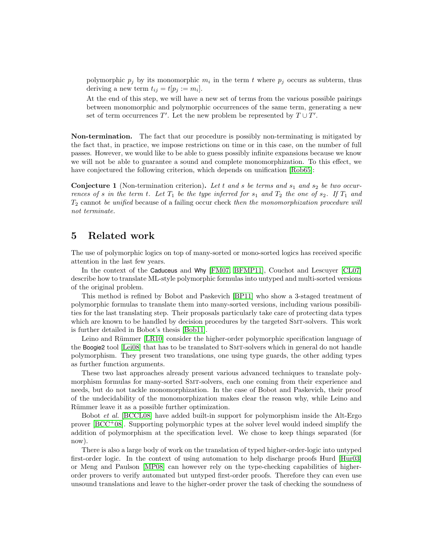polymorphic  $p_j$  by its monomorphic  $m_i$  in the term t where  $p_j$  occurs as subterm, thus deriving a new term  $t_{ij} = t[p_j := m_i].$ 

At the end of this step, we will have a new set of terms from the various possible pairings between monomorphic and polymorphic occurrences of the same term, generating a new set of term occurrences  $T'$ . Let the new problem be represented by  $T \cup T'$ .

Non-termination. The fact that our procedure is possibly non-terminating is mitigated by the fact that, in practice, we impose restrictions on time or in this case, on the number of full passes. However, we would like to be able to guess possibly infinite expansions because we know we will not be able to guarantee a sound and complete monomorphization. To this effect, we have conjectured the following criterion, which depends on unification [\[Rob65\]](#page-9-8):

**Conjecture 1** (Non-termination criterion). Let t and s be terms and  $s_1$  and  $s_2$  be two occurrences of s in the term t. Let  $T_1$  be the type inferred for  $s_1$  and  $T_2$  the one of  $s_2$ . If  $T_1$  and  $T_2$  cannot be unified because of a failing occur check then the monomorphization procedure will not terminate.

### <span id="page-7-0"></span>5 Related work

The use of polymorphic logics on top of many-sorted or mono-sorted logics has received specific attention in the last few years.

In the context of the Caduceus and Why [\[FM07,](#page-9-9) [BFMP11\]](#page-9-10), Couchot and Lescuyer [\[CL07\]](#page-9-11) describe how to translate ML-style polymorphic formulas into untyped and multi-sorted versions of the original problem.

This method is refined by Bobot and Paskevich [\[BP11\]](#page-9-7) who show a 3-staged treatment of polymorphic formulas to translate them into many-sorted versions, including various possibilities for the last translating step. Their proposals particularly take care of protecting data types which are known to be handled by decision procedures by the targeted SMT-solvers. This work is further detailed in Bobot's thesis [\[Bob11\]](#page-9-12).

Leino and Rümmer [\[LR10\]](#page-9-13) consider the higher-order polymorphic specification language of the Boogie2 tool [\[Lei08\]](#page-9-14) that has to be translated to SMT-solvers which in general do not handle polymorphism. They present two translations, one using type guards, the other adding types as further function arguments.

These two last approaches already present various advanced techniques to translate polymorphism formulas for many-sorted Smt-solvers, each one coming from their experience and needs, but do not tackle monomorphization. In the case of Bobot and Paskevich, their proof of the undecidability of the monomorphization makes clear the reason why, while Leino and Rümmer leave it as a possible further optimization.

Bobot et al. [\[BCCL08\]](#page-8-1) have added built-in support for polymorphism inside the Alt-Ergo prover  $[BCC+08]$ . Supporting polymorphic types at the solver level would indeed simplify the addition of polymorphism at the specification level. We chose to keep things separated (for now).

There is also a large body of work on the translation of typed higher-order-logic into untyped first-order logic. In the context of using automation to help discharge proofs Hurd [\[Hur03\]](#page-9-15) or Meng and Paulson [\[MP08\]](#page-9-16) can however rely on the type-checking capabilities of higherorder provers to verify automated but untyped first-order proofs. Therefore they can even use unsound translations and leave to the higher-order prover the task of checking the soundness of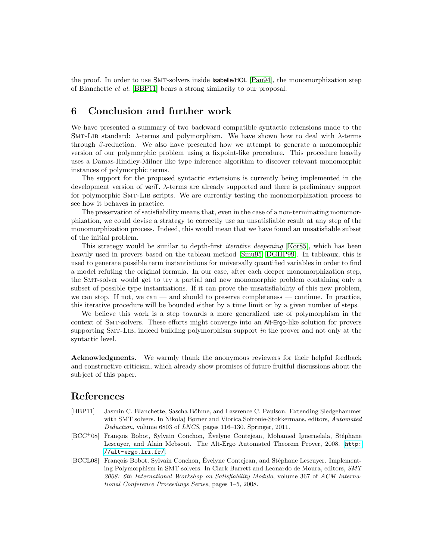the proof. In order to use Smt-solvers inside Isabelle/HOL [\[Pau94\]](#page-9-17), the monomorphization step of Blanchette et al. [\[BBP11\]](#page-8-3) bears a strong similarity to our proposal.

### <span id="page-8-0"></span>6 Conclusion and further work

We have presented a summary of two backward compatible syntactic extensions made to the SMT-LIB standard:  $\lambda$ -terms and polymorphism. We have shown how to deal with  $\lambda$ -terms through  $\beta$ -reduction. We also have presented how we attempt to generate a monomorphic version of our polymorphic problem using a fixpoint-like procedure. This procedure heavily uses a Damas-Hindley-Milner like type inference algorithm to discover relevant monomorphic instances of polymorphic terms.

The support for the proposed syntactic extensions is currently being implemented in the development version of veriT. λ-terms are already supported and there is preliminary support for polymorphic Smt-Lib scripts. We are currently testing the monomorphization process to see how it behaves in practice.

The preservation of satisfiability means that, even in the case of a non-terminating monomorphization, we could devise a strategy to correctly use an unsatisfiable result at any step of the monomorphization process. Indeed, this would mean that we have found an unsatisfiable subset of the initial problem.

This strategy would be similar to depth-first iterative deepening [\[Kor85\]](#page-9-18), which has been heavily used in provers based on the tableau method [\[Smu95,](#page-9-19) [DGHP99\]](#page-9-20). In tableaux, this is used to generate possible term instantiations for universally quantified variables in order to find a model refuting the original formula. In our case, after each deeper monomorphization step, the Smt-solver would get to try a partial and new monomorphic problem containing only a subset of possible type instantiations. If it can prove the unsatisfiability of this new problem, we can stop. If not, we can — and should to preserve completeness — continue. In practice, this iterative procedure will be bounded either by a time limit or by a given number of steps.

We believe this work is a step towards a more generalized use of polymorphism in the context of Smt-solvers. These efforts might converge into an Alt-Ergo-like solution for provers supporting SMT-LIB, indeed building polymorphism support in the prover and not only at the syntactic level.

Acknowledgments. We warmly thank the anonymous reviewers for their helpful feedback and constructive criticism, which already show promises of future fruitful discussions about the subject of this paper.

### References

- <span id="page-8-3"></span>[BBP11] Jasmin C. Blanchette, Sascha Böhme, and Lawrence C. Paulson. Extending Sledgehammer with SMT solvers. In Nikolaj Børner and Viorica Sofronie-Stokkermans, editors, Automated Deduction, volume 6803 of LNCS, pages 116–130. Springer, 2011.
- <span id="page-8-2"></span>[BCC<sup>+</sup>08] François Bobot, Sylvain Conchon, Évelyne Contejean, Mohamed Iguernelala, Stéphane Lescuyer, and Alain Mebsout. The Alt-Ergo Automated Theorem Prover, 2008. [http:](http://alt-ergo.lri.fr/) [//alt-ergo.lri.fr/](http://alt-ergo.lri.fr/).
- <span id="page-8-1"></span>[BCCL08] François Bobot, Sylvain Conchon, Évelyne Contejean, and Stéphane Lescuyer. Implementing Polymorphism in SMT solvers. In Clark Barrett and Leonardo de Moura, editors, SMT 2008: 6th International Workshop on Satisfiability Modulo, volume 367 of ACM International Conference Proceedings Series, pages 1–5, 2008.